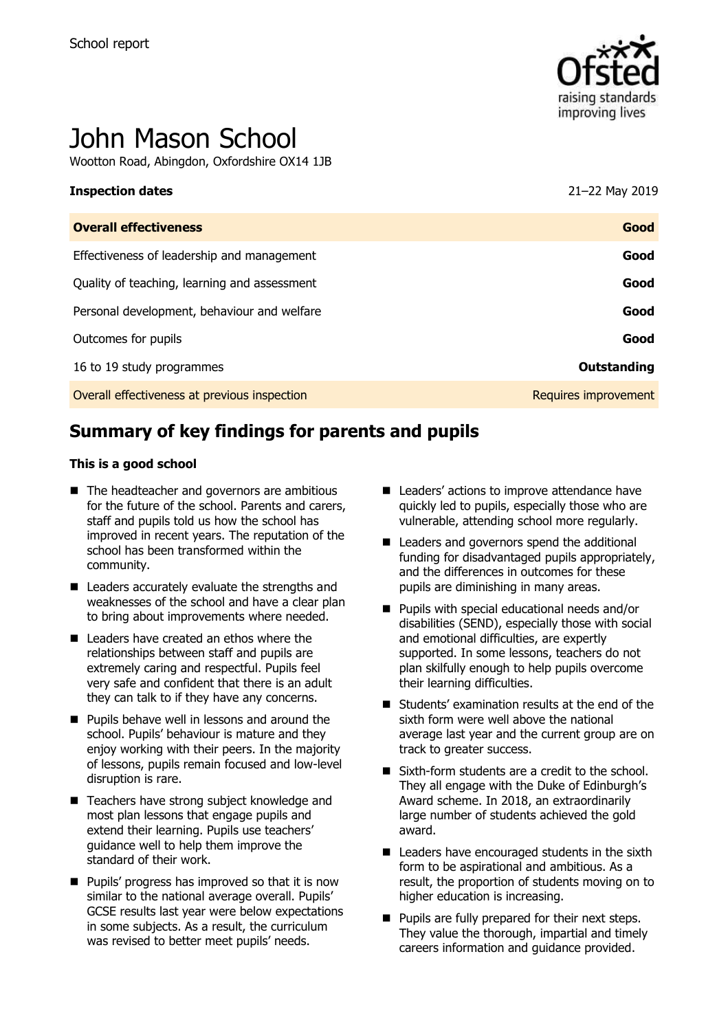

# John Mason School

Wootton Road, Abingdon, Oxfordshire OX14 1JB

#### **Inspection dates** 21–22 May 2019

| <b>Overall effectiveness</b>                 | Good                 |
|----------------------------------------------|----------------------|
| Effectiveness of leadership and management   | Good                 |
| Quality of teaching, learning and assessment | Good                 |
| Personal development, behaviour and welfare  | Good                 |
| Outcomes for pupils                          | Good                 |
| 16 to 19 study programmes                    | Outstanding          |
| Overall effectiveness at previous inspection | Requires improvement |

# **Summary of key findings for parents and pupils**

#### **This is a good school**

- The headteacher and governors are ambitious for the future of the school. Parents and carers, staff and pupils told us how the school has improved in recent years. The reputation of the school has been transformed within the community.
- Leaders accurately evaluate the strengths and weaknesses of the school and have a clear plan to bring about improvements where needed.
- Leaders have created an ethos where the relationships between staff and pupils are extremely caring and respectful. Pupils feel very safe and confident that there is an adult they can talk to if they have any concerns.
- **Pupils behave well in lessons and around the** school. Pupils' behaviour is mature and they enjoy working with their peers. In the majority of lessons, pupils remain focused and low-level disruption is rare.
- Teachers have strong subject knowledge and most plan lessons that engage pupils and extend their learning. Pupils use teachers' guidance well to help them improve the standard of their work.
- $\blacksquare$  Pupils' progress has improved so that it is now similar to the national average overall. Pupils' GCSE results last year were below expectations in some subjects. As a result, the curriculum was revised to better meet pupils' needs.
- Leaders' actions to improve attendance have quickly led to pupils, especially those who are vulnerable, attending school more regularly.
- Leaders and governors spend the additional funding for disadvantaged pupils appropriately, and the differences in outcomes for these pupils are diminishing in many areas.
- **Pupils with special educational needs and/or** disabilities (SEND), especially those with social and emotional difficulties, are expertly supported. In some lessons, teachers do not plan skilfully enough to help pupils overcome their learning difficulties.
- $\blacksquare$  Students' examination results at the end of the sixth form were well above the national average last year and the current group are on track to greater success.
- Sixth-form students are a credit to the school. They all engage with the Duke of Edinburgh's Award scheme. In 2018, an extraordinarily large number of students achieved the gold award.
- Leaders have encouraged students in the sixth form to be aspirational and ambitious. As a result, the proportion of students moving on to higher education is increasing.
- **Pupils are fully prepared for their next steps.** They value the thorough, impartial and timely careers information and guidance provided.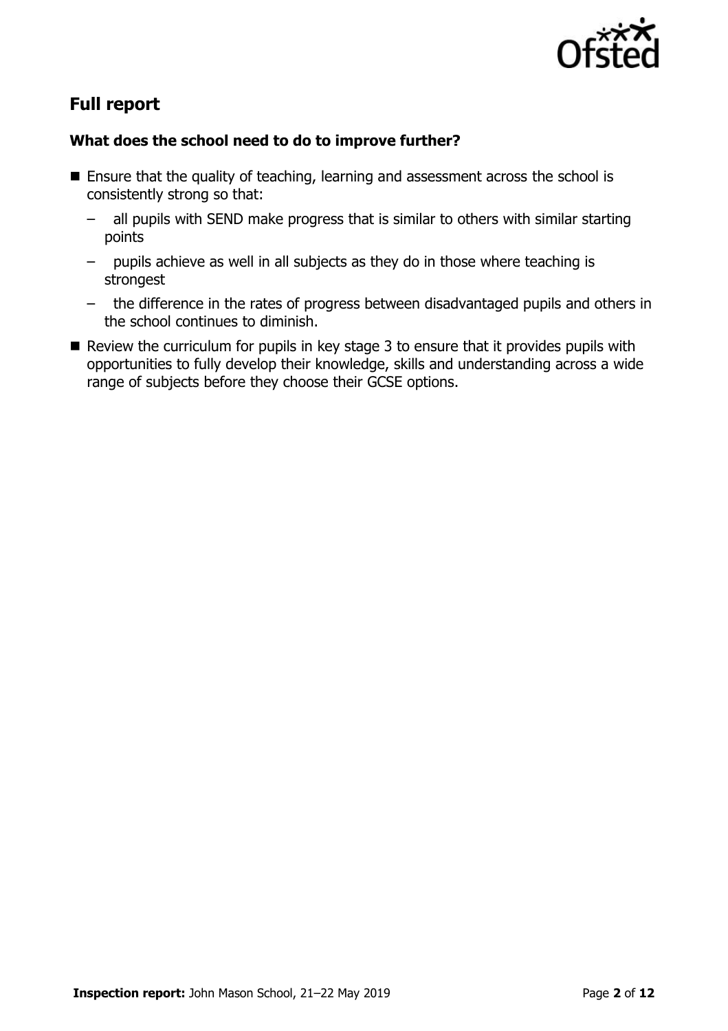

# **Full report**

### **What does the school need to do to improve further?**

- $\blacksquare$  Ensure that the quality of teaching, learning and assessment across the school is consistently strong so that:
	- all pupils with SEND make progress that is similar to others with similar starting points
	- pupils achieve as well in all subjects as they do in those where teaching is strongest
	- the difference in the rates of progress between disadvantaged pupils and others in the school continues to diminish.
- $\blacksquare$  Review the curriculum for pupils in key stage 3 to ensure that it provides pupils with opportunities to fully develop their knowledge, skills and understanding across a wide range of subjects before they choose their GCSE options.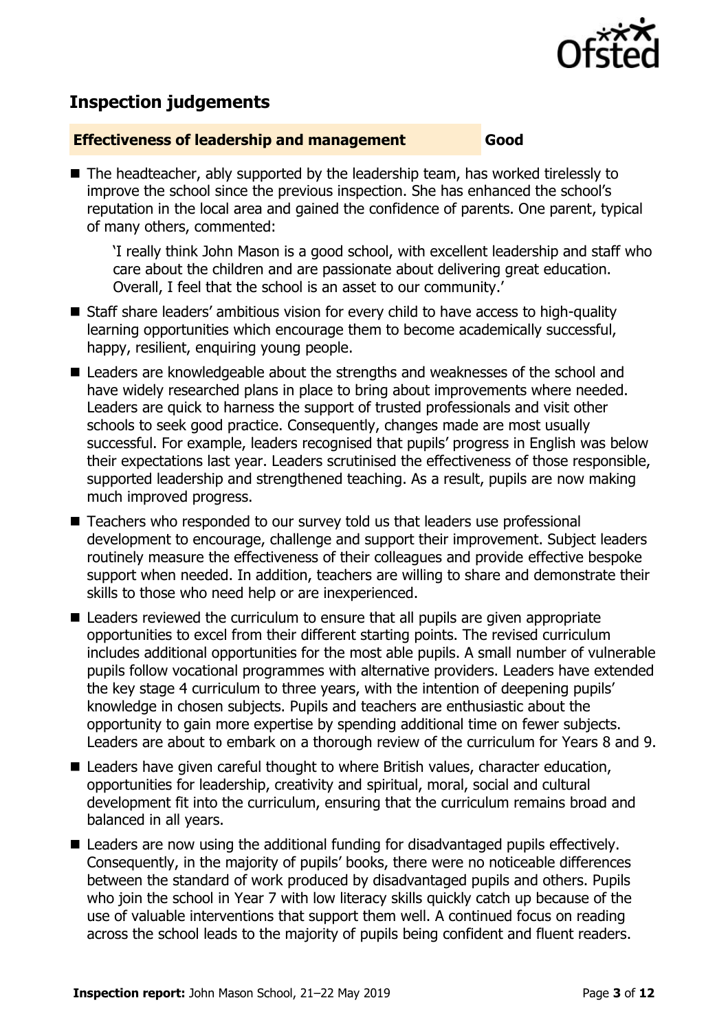

## **Inspection judgements**

#### **Effectiveness of leadership and management Good**

■ The headteacher, ably supported by the leadership team, has worked tirelessly to improve the school since the previous inspection. She has enhanced the school's reputation in the local area and gained the confidence of parents. One parent, typical of many others, commented:

'I really think John Mason is a good school, with excellent leadership and staff who care about the children and are passionate about delivering great education. Overall, I feel that the school is an asset to our community.'

- Staff share leaders' ambitious vision for every child to have access to high-quality learning opportunities which encourage them to become academically successful, happy, resilient, enquiring young people.
- Leaders are knowledgeable about the strengths and weaknesses of the school and have widely researched plans in place to bring about improvements where needed. Leaders are quick to harness the support of trusted professionals and visit other schools to seek good practice. Consequently, changes made are most usually successful. For example, leaders recognised that pupils' progress in English was below their expectations last year. Leaders scrutinised the effectiveness of those responsible, supported leadership and strengthened teaching. As a result, pupils are now making much improved progress.
- Teachers who responded to our survey told us that leaders use professional development to encourage, challenge and support their improvement. Subject leaders routinely measure the effectiveness of their colleagues and provide effective bespoke support when needed. In addition, teachers are willing to share and demonstrate their skills to those who need help or are inexperienced.
- Leaders reviewed the curriculum to ensure that all pupils are given appropriate opportunities to excel from their different starting points. The revised curriculum includes additional opportunities for the most able pupils. A small number of vulnerable pupils follow vocational programmes with alternative providers. Leaders have extended the key stage 4 curriculum to three years, with the intention of deepening pupils' knowledge in chosen subjects. Pupils and teachers are enthusiastic about the opportunity to gain more expertise by spending additional time on fewer subjects. Leaders are about to embark on a thorough review of the curriculum for Years 8 and 9.
- Leaders have given careful thought to where British values, character education, opportunities for leadership, creativity and spiritual, moral, social and cultural development fit into the curriculum, ensuring that the curriculum remains broad and balanced in all years.
- Leaders are now using the additional funding for disadvantaged pupils effectively. Consequently, in the majority of pupils' books, there were no noticeable differences between the standard of work produced by disadvantaged pupils and others. Pupils who join the school in Year 7 with low literacy skills quickly catch up because of the use of valuable interventions that support them well. A continued focus on reading across the school leads to the majority of pupils being confident and fluent readers.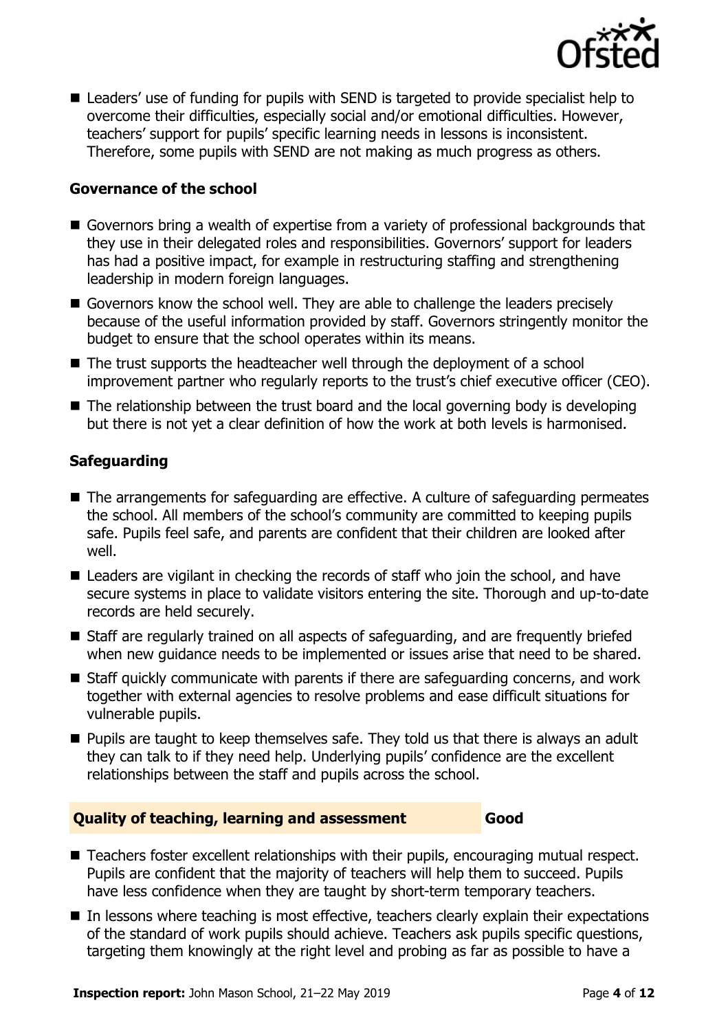

■ Leaders' use of funding for pupils with SEND is targeted to provide specialist help to overcome their difficulties, especially social and/or emotional difficulties. However, teachers' support for pupils' specific learning needs in lessons is inconsistent. Therefore, some pupils with SEND are not making as much progress as others.

#### **Governance of the school**

- Governors bring a wealth of expertise from a variety of professional backgrounds that they use in their delegated roles and responsibilities. Governors' support for leaders has had a positive impact, for example in restructuring staffing and strengthening leadership in modern foreign languages.
- Governors know the school well. They are able to challenge the leaders precisely because of the useful information provided by staff. Governors stringently monitor the budget to ensure that the school operates within its means.
- The trust supports the headteacher well through the deployment of a school improvement partner who regularly reports to the trust's chief executive officer (CEO).
- $\blacksquare$  The relationship between the trust board and the local governing body is developing but there is not yet a clear definition of how the work at both levels is harmonised.

#### **Safeguarding**

- The arrangements for safeguarding are effective. A culture of safeguarding permeates the school. All members of the school's community are committed to keeping pupils safe. Pupils feel safe, and parents are confident that their children are looked after well.
- Leaders are vigilant in checking the records of staff who join the school, and have secure systems in place to validate visitors entering the site. Thorough and up-to-date records are held securely.
- Staff are regularly trained on all aspects of safeguarding, and are frequently briefed when new guidance needs to be implemented or issues arise that need to be shared.
- Staff quickly communicate with parents if there are safeguarding concerns, and work together with external agencies to resolve problems and ease difficult situations for vulnerable pupils.
- **Pupils are taught to keep themselves safe. They told us that there is always an adult** they can talk to if they need help. Underlying pupils' confidence are the excellent relationships between the staff and pupils across the school.

#### **Quality of teaching, learning and assessment Good**

- Teachers foster excellent relationships with their pupils, encouraging mutual respect. Pupils are confident that the majority of teachers will help them to succeed. Pupils have less confidence when they are taught by short-term temporary teachers.
- In lessons where teaching is most effective, teachers clearly explain their expectations of the standard of work pupils should achieve. Teachers ask pupils specific questions, targeting them knowingly at the right level and probing as far as possible to have a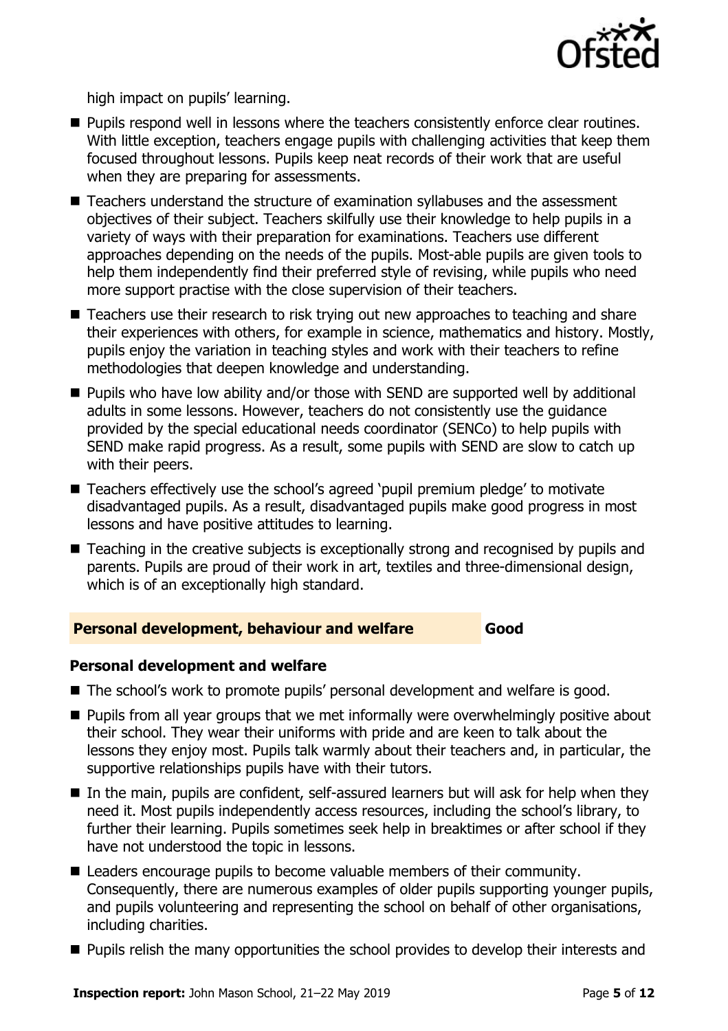

high impact on pupils' learning.

- **Pupils respond well in lessons where the teachers consistently enforce clear routines.** With little exception, teachers engage pupils with challenging activities that keep them focused throughout lessons. Pupils keep neat records of their work that are useful when they are preparing for assessments.
- Teachers understand the structure of examination syllabuses and the assessment objectives of their subject. Teachers skilfully use their knowledge to help pupils in a variety of ways with their preparation for examinations. Teachers use different approaches depending on the needs of the pupils. Most-able pupils are given tools to help them independently find their preferred style of revising, while pupils who need more support practise with the close supervision of their teachers.
- Teachers use their research to risk trying out new approaches to teaching and share their experiences with others, for example in science, mathematics and history. Mostly, pupils enjoy the variation in teaching styles and work with their teachers to refine methodologies that deepen knowledge and understanding.
- Pupils who have low ability and/or those with SEND are supported well by additional adults in some lessons. However, teachers do not consistently use the guidance provided by the special educational needs coordinator (SENCo) to help pupils with SEND make rapid progress. As a result, some pupils with SEND are slow to catch up with their peers.
- Teachers effectively use the school's agreed 'pupil premium pledge' to motivate disadvantaged pupils. As a result, disadvantaged pupils make good progress in most lessons and have positive attitudes to learning.
- Teaching in the creative subjects is exceptionally strong and recognised by pupils and parents. Pupils are proud of their work in art, textiles and three-dimensional design, which is of an exceptionally high standard.

#### **Personal development, behaviour and welfare Good**

#### **Personal development and welfare**

- The school's work to promote pupils' personal development and welfare is good.
- **Pupils from all year groups that we met informally were overwhelmingly positive about** their school. They wear their uniforms with pride and are keen to talk about the lessons they enjoy most. Pupils talk warmly about their teachers and, in particular, the supportive relationships pupils have with their tutors.
- In the main, pupils are confident, self-assured learners but will ask for help when they need it. Most pupils independently access resources, including the school's library, to further their learning. Pupils sometimes seek help in breaktimes or after school if they have not understood the topic in lessons.
- Leaders encourage pupils to become valuable members of their community. Consequently, there are numerous examples of older pupils supporting younger pupils, and pupils volunteering and representing the school on behalf of other organisations, including charities.
- **Pupils relish the many opportunities the school provides to develop their interests and**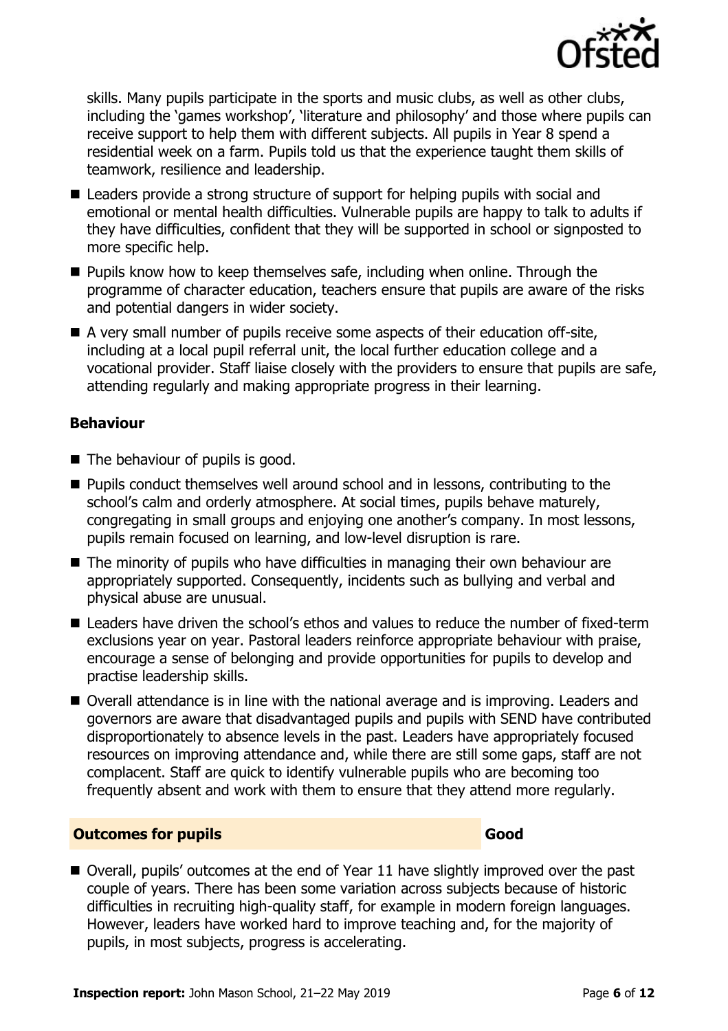

skills. Many pupils participate in the sports and music clubs, as well as other clubs, including the 'games workshop', 'literature and philosophy' and those where pupils can receive support to help them with different subjects. All pupils in Year 8 spend a residential week on a farm. Pupils told us that the experience taught them skills of teamwork, resilience and leadership.

- Leaders provide a strong structure of support for helping pupils with social and emotional or mental health difficulties. Vulnerable pupils are happy to talk to adults if they have difficulties, confident that they will be supported in school or signposted to more specific help.
- $\blacksquare$  Pupils know how to keep themselves safe, including when online. Through the programme of character education, teachers ensure that pupils are aware of the risks and potential dangers in wider society.
- A very small number of pupils receive some aspects of their education off-site, including at a local pupil referral unit, the local further education college and a vocational provider. Staff liaise closely with the providers to ensure that pupils are safe, attending regularly and making appropriate progress in their learning.

#### **Behaviour**

- $\blacksquare$  The behaviour of pupils is good.
- **Pupils conduct themselves well around school and in lessons, contributing to the** school's calm and orderly atmosphere. At social times, pupils behave maturely, congregating in small groups and enjoying one another's company. In most lessons, pupils remain focused on learning, and low-level disruption is rare.
- The minority of pupils who have difficulties in managing their own behaviour are appropriately supported. Consequently, incidents such as bullying and verbal and physical abuse are unusual.
- Leaders have driven the school's ethos and values to reduce the number of fixed-term exclusions year on year. Pastoral leaders reinforce appropriate behaviour with praise, encourage a sense of belonging and provide opportunities for pupils to develop and practise leadership skills.
- Overall attendance is in line with the national average and is improving. Leaders and governors are aware that disadvantaged pupils and pupils with SEND have contributed disproportionately to absence levels in the past. Leaders have appropriately focused resources on improving attendance and, while there are still some gaps, staff are not complacent. Staff are quick to identify vulnerable pupils who are becoming too frequently absent and work with them to ensure that they attend more regularly.

#### **Outcomes for pupils Good**

■ Overall, pupils' outcomes at the end of Year 11 have slightly improved over the past couple of years. There has been some variation across subjects because of historic difficulties in recruiting high-quality staff, for example in modern foreign languages. However, leaders have worked hard to improve teaching and, for the majority of pupils, in most subjects, progress is accelerating.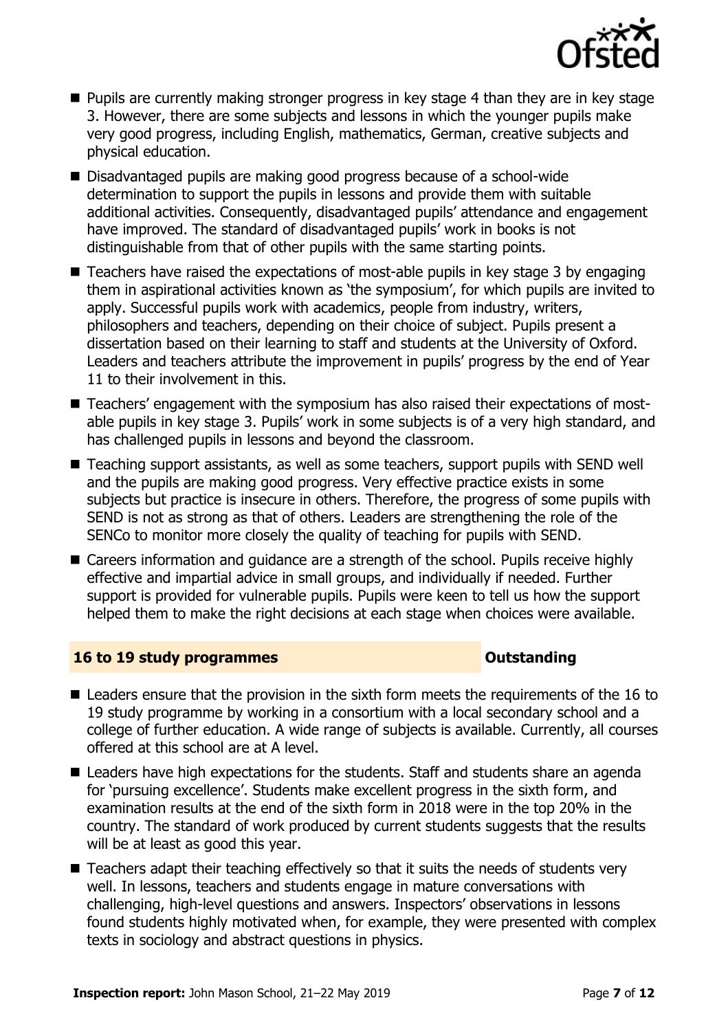

- **Pupils are currently making stronger progress in key stage 4 than they are in key stage** 3. However, there are some subjects and lessons in which the younger pupils make very good progress, including English, mathematics, German, creative subjects and physical education.
- Disadvantaged pupils are making good progress because of a school-wide determination to support the pupils in lessons and provide them with suitable additional activities. Consequently, disadvantaged pupils' attendance and engagement have improved. The standard of disadvantaged pupils' work in books is not distinguishable from that of other pupils with the same starting points.
- $\blacksquare$  Teachers have raised the expectations of most-able pupils in key stage 3 by engaging them in aspirational activities known as 'the symposium', for which pupils are invited to apply. Successful pupils work with academics, people from industry, writers, philosophers and teachers, depending on their choice of subject. Pupils present a dissertation based on their learning to staff and students at the University of Oxford. Leaders and teachers attribute the improvement in pupils' progress by the end of Year 11 to their involvement in this.
- Teachers' engagement with the symposium has also raised their expectations of mostable pupils in key stage 3. Pupils' work in some subjects is of a very high standard, and has challenged pupils in lessons and beyond the classroom.
- Teaching support assistants, as well as some teachers, support pupils with SEND well and the pupils are making good progress. Very effective practice exists in some subjects but practice is insecure in others. Therefore, the progress of some pupils with SEND is not as strong as that of others. Leaders are strengthening the role of the SENCo to monitor more closely the quality of teaching for pupils with SEND.
- Careers information and guidance are a strength of the school. Pupils receive highly effective and impartial advice in small groups, and individually if needed. Further support is provided for vulnerable pupils. Pupils were keen to tell us how the support helped them to make the right decisions at each stage when choices were available.

#### **16 to 19 study programmes CONSTANDING CONSTANDING CONSTANDING CONSTANDING CONSTANDING CONSTANDING CONSTANDING CONSTANDING CONSTANDING CONSTANDING CONSTANDING CONSTANDING CONSTANDING CONSTANDING CONSTANDING CONSTANDING C**

- Leaders ensure that the provision in the sixth form meets the requirements of the 16 to 19 study programme by working in a consortium with a local secondary school and a college of further education. A wide range of subjects is available. Currently, all courses offered at this school are at A level.
- Leaders have high expectations for the students. Staff and students share an agenda for 'pursuing excellence'. Students make excellent progress in the sixth form, and examination results at the end of the sixth form in 2018 were in the top 20% in the country. The standard of work produced by current students suggests that the results will be at least as good this year.
- $\blacksquare$  Teachers adapt their teaching effectively so that it suits the needs of students very well. In lessons, teachers and students engage in mature conversations with challenging, high-level questions and answers. Inspectors' observations in lessons found students highly motivated when, for example, they were presented with complex texts in sociology and abstract questions in physics.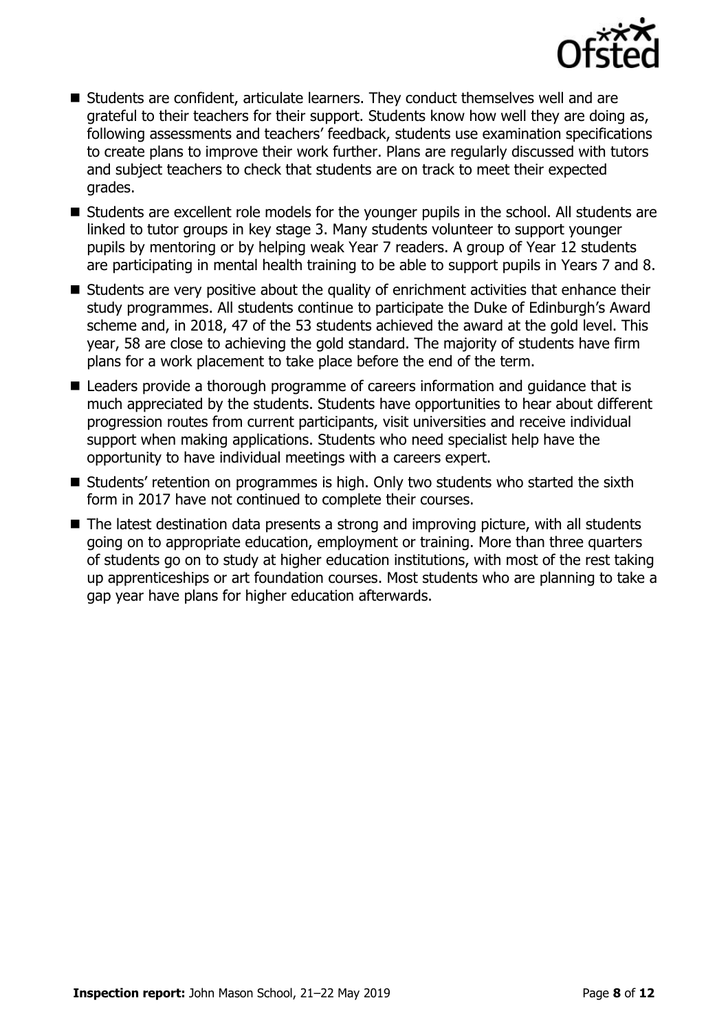

- Students are confident, articulate learners. They conduct themselves well and are grateful to their teachers for their support. Students know how well they are doing as, following assessments and teachers' feedback, students use examination specifications to create plans to improve their work further. Plans are regularly discussed with tutors and subject teachers to check that students are on track to meet their expected grades.
- Students are excellent role models for the younger pupils in the school. All students are linked to tutor groups in key stage 3. Many students volunteer to support younger pupils by mentoring or by helping weak Year 7 readers. A group of Year 12 students are participating in mental health training to be able to support pupils in Years 7 and 8.
- Students are very positive about the quality of enrichment activities that enhance their study programmes. All students continue to participate the Duke of Edinburgh's Award scheme and, in 2018, 47 of the 53 students achieved the award at the gold level. This year, 58 are close to achieving the gold standard. The majority of students have firm plans for a work placement to take place before the end of the term.
- Leaders provide a thorough programme of careers information and guidance that is much appreciated by the students. Students have opportunities to hear about different progression routes from current participants, visit universities and receive individual support when making applications. Students who need specialist help have the opportunity to have individual meetings with a careers expert.
- Students' retention on programmes is high. Only two students who started the sixth form in 2017 have not continued to complete their courses.
- The latest destination data presents a strong and improving picture, with all students going on to appropriate education, employment or training. More than three quarters of students go on to study at higher education institutions, with most of the rest taking up apprenticeships or art foundation courses. Most students who are planning to take a gap year have plans for higher education afterwards.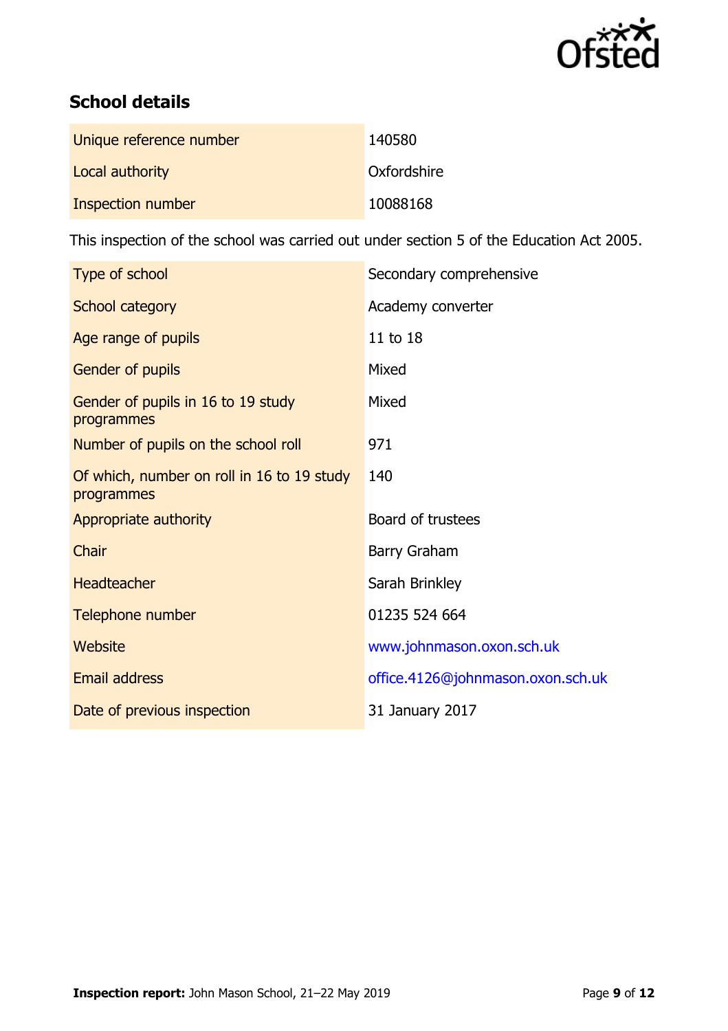

# **School details**

| Unique reference number | 140580      |
|-------------------------|-------------|
| Local authority         | Oxfordshire |
| Inspection number       | 10088168    |

This inspection of the school was carried out under section 5 of the Education Act 2005.

| Type of school                                           | Secondary comprehensive           |
|----------------------------------------------------------|-----------------------------------|
| School category                                          | Academy converter                 |
| Age range of pupils                                      | 11 to 18                          |
| Gender of pupils                                         | Mixed                             |
| Gender of pupils in 16 to 19 study<br>programmes         | Mixed                             |
| Number of pupils on the school roll                      | 971                               |
| Of which, number on roll in 16 to 19 study<br>programmes | 140                               |
| Appropriate authority                                    | Board of trustees                 |
| Chair                                                    | <b>Barry Graham</b>               |
| <b>Headteacher</b>                                       | Sarah Brinkley                    |
| Telephone number                                         | 01235 524 664                     |
| Website                                                  | www.johnmason.oxon.sch.uk         |
| Email address                                            | office.4126@johnmason.oxon.sch.uk |
| Date of previous inspection                              | 31 January 2017                   |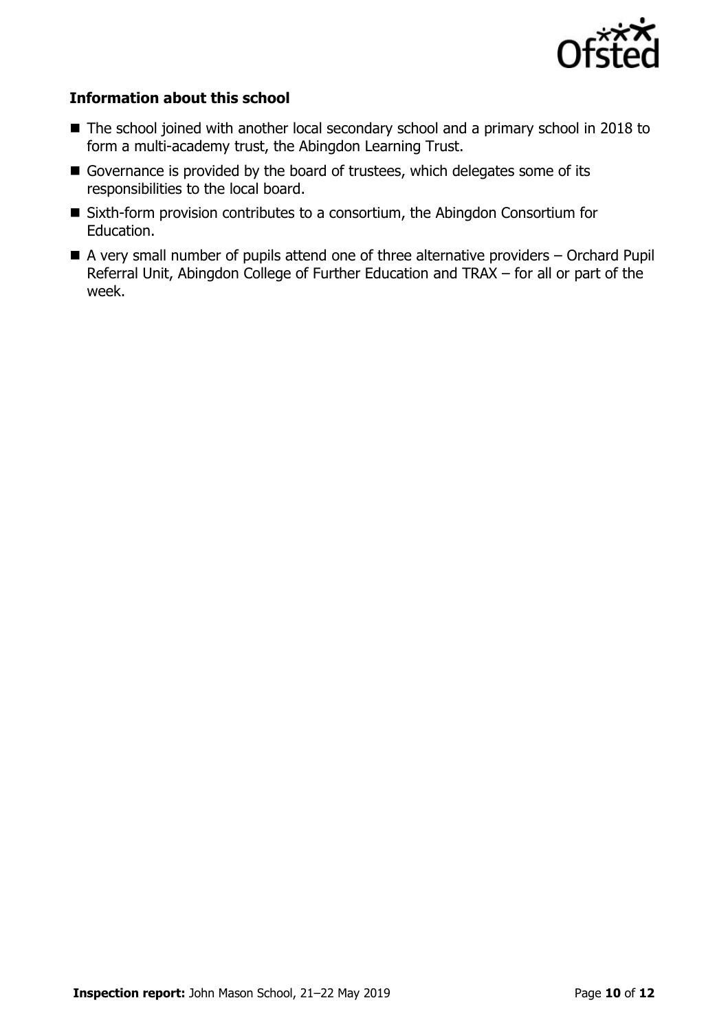

#### **Information about this school**

- The school joined with another local secondary school and a primary school in 2018 to form a multi-academy trust, the Abingdon Learning Trust.
- Governance is provided by the board of trustees, which delegates some of its responsibilities to the local board.
- Sixth-form provision contributes to a consortium, the Abingdon Consortium for Education.
- $\blacksquare$  A very small number of pupils attend one of three alternative providers  $-$  Orchard Pupil Referral Unit, Abingdon College of Further Education and TRAX – for all or part of the week.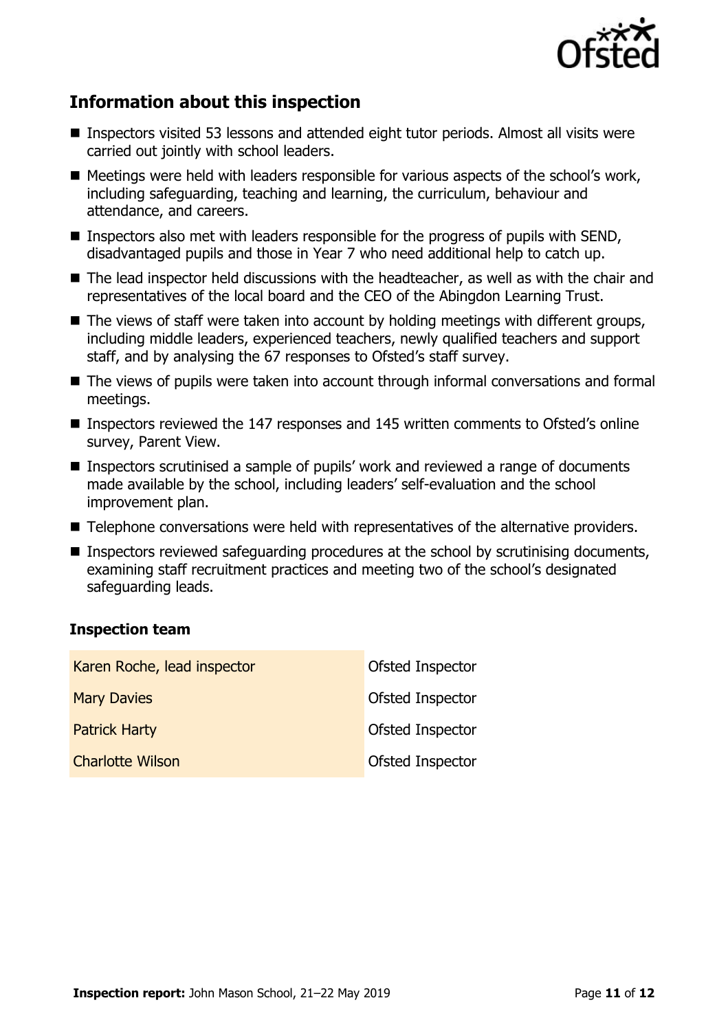

# **Information about this inspection**

- Inspectors visited 53 lessons and attended eight tutor periods. Almost all visits were carried out jointly with school leaders.
- Meetings were held with leaders responsible for various aspects of the school's work, including safeguarding, teaching and learning, the curriculum, behaviour and attendance, and careers.
- **Inspectors also met with leaders responsible for the progress of pupils with SEND,** disadvantaged pupils and those in Year 7 who need additional help to catch up.
- The lead inspector held discussions with the headteacher, as well as with the chair and representatives of the local board and the CEO of the Abingdon Learning Trust.
- $\blacksquare$  The views of staff were taken into account by holding meetings with different groups, including middle leaders, experienced teachers, newly qualified teachers and support staff, and by analysing the 67 responses to Ofsted's staff survey.
- The views of pupils were taken into account through informal conversations and formal meetings.
- Inspectors reviewed the 147 responses and 145 written comments to Ofsted's online survey, Parent View.
- Inspectors scrutinised a sample of pupils' work and reviewed a range of documents made available by the school, including leaders' self-evaluation and the school improvement plan.
- Telephone conversations were held with representatives of the alternative providers.
- Inspectors reviewed safeguarding procedures at the school by scrutinising documents, examining staff recruitment practices and meeting two of the school's designated safeguarding leads.

#### **Inspection team**

| Karen Roche, lead inspector | Ofsted Inspector |
|-----------------------------|------------------|
| <b>Mary Davies</b>          | Ofsted Inspector |
| <b>Patrick Harty</b>        | Ofsted Inspector |
| <b>Charlotte Wilson</b>     | Ofsted Inspector |